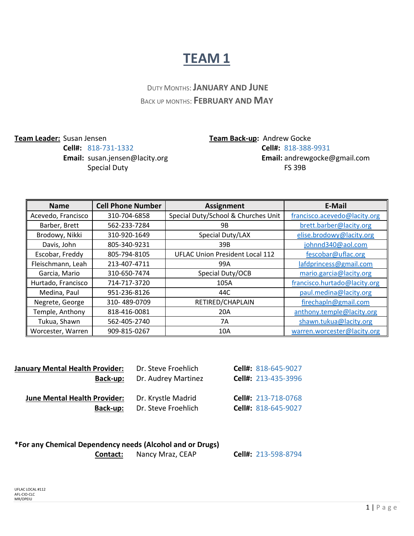#### DUTY MONTHS:**JANUARY AND JUNE** BACK UP MONTHS: **FEBRUARY AND MAY**

**Team Leader:** Susan Jensen **Team Back-up:** Andrew Gocke

### **Cell#:** 818-731-1332 **Cell#:** 818-388-9931 **Email:** susan.jensen@lacity.org **Email:** [andrewgocke@gmail.com](mailto:andrewgocke@gmail.com) Special Duty **FS** 39B

| <b>Name</b>        | <b>Cell Phone Number</b> | <b>Assignment</b>                      | E-Mail                       |
|--------------------|--------------------------|----------------------------------------|------------------------------|
| Acevedo, Francisco | 310-704-6858             | Special Duty/School & Churches Unit    | francisco.acevedo@lacity.org |
| Barber, Brett      | 562-233-7284             | 9B                                     | brett.barber@lacity.org      |
| Brodowy, Nikki     | 310-920-1649             | Special Duty/LAX                       | elise.brodowy@lacity.org     |
| Davis, John        | 805-340-9231             | 39B                                    | johnnd340@aol.com            |
| Escobar, Freddy    | 805-794-8105             | <b>UFLAC Union President Local 112</b> | fescobar@uflac.org           |
| Fleischmann, Leah  | 213-407-4711             | 99A                                    | lafdprincess@gmail.com       |
| Garcia, Mario      | 310-650-7474             | Special Duty/OCB                       | mario.garcia@lacity.org      |
| Hurtado, Francisco | 714-717-3720             | 105A                                   | francisco.hurtado@lacity.org |
| Medina, Paul       | 951-236-8126             | 44C                                    | paul.medina@lacity.org       |
| Negrete, George    | 310-489-0709             | RETIRED/CHAPLAIN                       | firechapln@gmail.com         |
| Temple, Anthony    | 818-416-0081             | 20A                                    | anthony.temple@lacity.org    |
| Tukua, Shawn       | 562-405-2740             | 7A                                     | shawn.tukua@lacity.org       |
| Worcester, Warren  | 909-815-0267             | 10A                                    | warren.worcester@lacity.org  |

| <b>January Mental Health Provider:</b>                 | Dr. Steve Froehlich                       | Cell#: 818-645-9027                        |
|--------------------------------------------------------|-------------------------------------------|--------------------------------------------|
| Back-up:                                               | Dr. Audrey Martinez                       | Cell#: 213-435-3996                        |
| <b>June Mental Health Provider:</b><br><b>Back-up:</b> | Dr. Krystle Madrid<br>Dr. Steve Froehlich | Cell#: 213-718-0768<br>Cell#: 818-645-9027 |
|                                                        |                                           |                                            |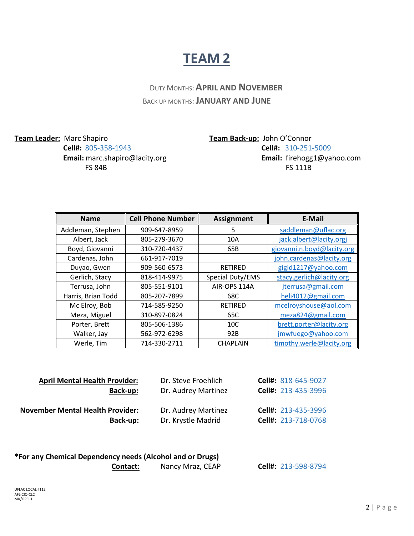DUTY MONTHS:**APRIL AND NOVEMBER** BACK UP MONTHS:**JANUARY AND JUNE**

**Team Leader:** Marc Shapiro **Team Back-up:** John O'Connor

**Cell#:** 805-358-1943 **Cell#:** 310-251-5009 **Email:** [marc.shapiro@lacity.org](mailto:marc.shapiro@lacity.org) **Email:** [firehogg1@yahoo.com](mailto:firehogg1@yahoo.com) FS 84BFS 111B

| <b>Name</b>        | <b>Cell Phone Number</b> | <b>Assignment</b> | <b>E-Mail</b>              |
|--------------------|--------------------------|-------------------|----------------------------|
| Addleman, Stephen  | 909-647-8959             | 5                 | saddleman@uflac.org        |
| Albert, Jack       | 805-279-3670             | 10A               | jack.albert@lacity.orgj    |
| Boyd, Giovanni     | 310-720-4437             | 65B               | giovanni.n.boyd@lacity.org |
| Cardenas, John     | 661-917-7019             |                   | john.cardenas@lacity.org   |
| Duyao, Gwen        | 909-560-6573             | <b>RETIRED</b>    | gigid1217@yahoo.com        |
| Gerlich, Stacy     | 818-414-9975             | Special Duty/EMS  | stacy.gerlich@lacity.org   |
| Terrusa, John      | 805-551-9101             | AIR-OPS 114A      | jterrusa@gmail.com         |
| Harris, Brian Todd | 805-207-7899             | 68C               | heli4012@gmail.com         |
| Mc Elroy, Bob      | 714-585-9250             | <b>RETIRED</b>    | mcelroyshouse@aol.com      |
| Meza, Miguel       | 310-897-0824             | 65C               | meza824@gmail.com          |
| Porter, Brett      | 805-506-1386             | 10 <sup>C</sup>   | brett.porter@lacity.org    |
| Walker, Jay        | 562-972-6298             | 92B               | jmwfuego@yahoo.com         |
| Werle, Tim         | 714-330-2711             | <b>CHAPLAIN</b>   | timothy.werle@lacity.org   |

| Cell#: 213-435-3996<br>Dr. Audrey Martinez |
|--------------------------------------------|
| Cell#: 213-435-3996<br>Dr. Audrey Martinez |
| Cell#: 213-718-0768<br>Dr. Krystle Madrid  |
|                                            |
|                                            |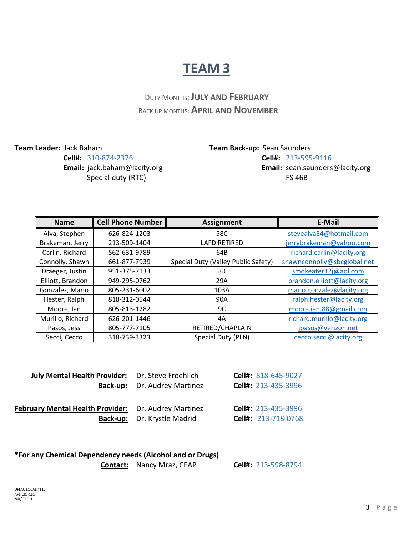### DUTY MONTHS:**JULY AND FEBRUARY** BACK UP MONTHS:**APRIL AND NOVEMBER**

**Team Leader:** Jack Baham **Team Back-up:** Sean Saunders

**Cell#:** 310-874-2376 **Cell#:** 213-595-9116 **Email:** [jack.baham@lacity.org](mailto:jack.baham@lacity.org) **Email:** [sean.saunders@lacity.org](mailto:sean.saunders@lacity.org) Special duty (RTC)FS 46B

| <b>Name</b>      | <b>Cell Phone Number</b> | <b>Assignment</b>                   | E-Mail                      |
|------------------|--------------------------|-------------------------------------|-----------------------------|
| Alva, Stephen    | 626-824-1203             | 58C                                 | stevealva34@hotmail.com     |
| Brakeman, Jerry  | 213-509-1404             | <b>LAFD RETIRED</b>                 | jerrybrakeman@yahoo.com     |
| Carlin, Richard  | 562-631-9789             | 64B                                 | richard.carlin@lacity.org   |
| Connolly, Shawn  | 661-877-7939             | Special Duty (Valley Public Safety) | shawnconnolly@sbcglobal.net |
| Draeger, Justin  | 951-375-7133             | 56C                                 | smokeater12j@aol.com        |
| Elliott, Brandon | 949-295-0762             | 29A                                 | brandon.elliott@lacity.org  |
| Gonzalez, Mario  | 805-231-6002             | 103A                                | mario.gonzalez@lacity.org   |
| Hester, Ralph    | 818-312-0544             | 90A                                 | ralph.hester@lacity.org     |
| Moore, lan       | 805-813-1282             | 9C                                  | moore.ian.88@gmail.com      |
| Murillo, Richard | 626-201-1446             | 4Α                                  | richard.murillo@lacity.org  |
| Pasos, Jess      | 805-777-7105             | RETIRED/CHAPLAIN                    | jpasos@verizon.net          |
| Secci, Cecco     | 310-739-3323             | Special Duty (PLN)                  | cecco.secci@lacity.org      |

| <b>July Mental Health Provider:</b> Dr. Steve Froehlich |                             | Cell#: 818-645-9027 |
|---------------------------------------------------------|-----------------------------|---------------------|
| Back-up:                                                | Dr. Audrey Martinez         | Cell#: 213-435-3996 |
|                                                         |                             |                     |
| February Mental Health Provider: Dr. Audrey Martinez    |                             | Cell#: 213-435-3996 |
|                                                         | Back-up: Dr. Krystle Madrid | Cell#: 213-718-0768 |
|                                                         |                             |                     |

## **\*For any Chemical Dependency needs (Alcohol and or Drugs)**

 **Contact:** Nancy Mraz, CEAP **Cell#:** 213-598-8794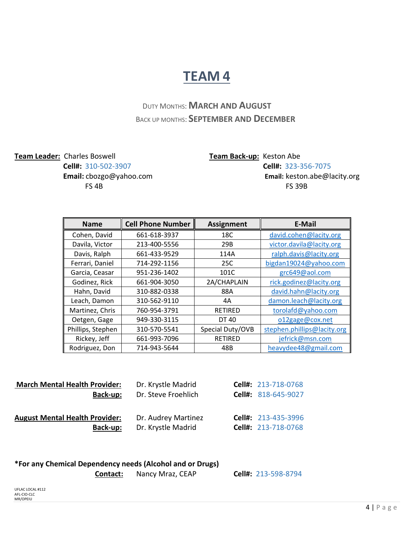#### DUTY MONTHS:**MARCH AND AUGUST** BACK UP MONTHS: **SEPTEMBER AND DECEMBER**

# **Team Leader:** Charles Boswell **Team Back-up:** Keston Abe

**FS 4B** FS 39B

**Cell#:** 310-502-3907 **Cell#:** 323-356-7075 **Email:** [cbozgo@yahoo.com](mailto:cbozgo@yahoo.com) **Email:** [keston.abe@lacity.org](mailto:keston.abe@lacity.org)

| <b>Name</b>       | <b>Cell Phone Number</b> | <b>Assignment</b> | <b>E-Mail</b>               |
|-------------------|--------------------------|-------------------|-----------------------------|
| Cohen, David      | 661-618-3937             | 18C               | david.cohen@lacity.org      |
| Davila, Victor    | 213-400-5556             | 29B               | victor.davila@lacity.org    |
| Davis, Ralph      | 661-433-9529             | 114A              | ralph.davis@lacity.org      |
| Ferrari, Daniel   | 714-292-1156             | 25C               | bigdan19024@yahoo.com       |
| Garcia, Ceasar    | 951-236-1402             | 101C              | grc649@aol.com              |
| Godinez, Rick     | 661-904-3050             | 2A/CHAPLAIN       | rick.godinez@lacity.org     |
| Hahn, David       | 310-882-0338             | 88A               | david.hahn@lacity.org       |
| Leach, Damon      | 310-562-9110             | 4A                | damon.leach@lacity.org      |
| Martinez, Chris   | 760-954-3791             | <b>RETIRED</b>    | torolafd@yahoo.com          |
| Oetgen, Gage      | 949-330-3115             | DT 40             | o12gage@cox.net             |
| Phillips, Stephen | 310-570-5541             | Special Duty/OVB  | stephen.phillips@lacity.org |
| Rickey, Jeff      | 661-993-7096             | <b>RETIRED</b>    | jefrick@msn.com             |
| Rodriguez, Don    | 714-943-5644             | 48B               | heavydee48@gmail.com        |

| <b>March Mental Health Provider:</b>  | Dr. Krystle Madrid  | Cell#: 213-718-0768 |
|---------------------------------------|---------------------|---------------------|
| Back-up:                              | Dr. Steve Froehlich | Cell#: 818-645-9027 |
| <b>August Mental Health Provider:</b> | Dr. Audrey Martinez | Cell#: 213-435-3996 |
| Back-up:                              | Dr. Krystle Madrid  | Cell#: 213-718-0768 |

#### **\*For any Chemical Dependency needs (Alcohol and or Drugs)**

 **Contact:** Nancy Mraz, CEAP **Cell#:** 213-598-8794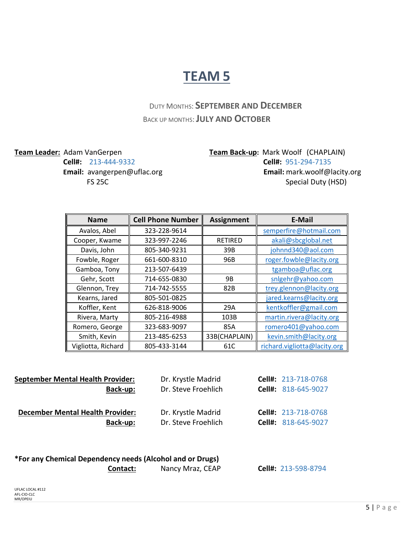### DUTY MONTHS: **SEPTEMBER AND DECEMBER** BACK UP MONTHS:**JULY AND OCTOBER**

**Team Leader:** Adam VanGerpen **Team Back-up**: Mark Woolf (CHAPLAIN) **Cell#:** 213-444-9332 **Cell#:** 951-294-7135 **Email:** [avangerpen@uflac.org](mailto:avangerpen@uflac.org) **Email:** [mark.woolf@lacity.org](mailto:mark.woolf@lacity.org) **FS 25C** Special Duty (HSD)

| <b>Name</b>        | <b>Cell Phone Number</b> | <b>Assignment</b> | <b>E-Mail</b>                |
|--------------------|--------------------------|-------------------|------------------------------|
| Avalos, Abel       | 323-228-9614             |                   | semperfire@hotmail.com       |
| Cooper, Kwame      | 323-997-2246             | <b>RETIRED</b>    | akali@sbcglobal.net          |
| Davis, John        | 805-340-9231             | 39B               | johnnd340@aol.com            |
| Fowble, Roger      | 661-600-8310             | 96B               | roger.fowble@lacity.org      |
| Gamboa, Tony       | 213-507-6439             |                   | tgamboa@uflac.org            |
| Gehr, Scott        | 714-655-0830             | <b>9B</b>         | snlgehr@yahoo.com            |
| Glennon, Trey      | 714-742-5555             | 82B               | trey.glennon@lacity.org      |
| Kearns, Jared      | 805-501-0825             |                   | jared.kearns@lacity.org      |
| Koffler, Kent      | 626-818-9006             | 29A               | kentkoffler@gmail.com        |
| Rivera, Marty      | 805-216-4988             | 103B              | martin.rivera@lacity.org     |
| Romero, George     | 323-683-9097             | 85A               | romero401@yahoo.com          |
| Smith, Kevin       | 213-485-6253             | 33B(CHAPLAIN)     | kevin.smith@lacity.org       |
| Vigliotta, Richard | 805-433-3144             | 61C               | richard.vigliotta@lacity.org |

| <b>September Mental Health Provider:</b> | Dr. Krystle Madrid  | Cell#: 213-718-0768        |
|------------------------------------------|---------------------|----------------------------|
| Back-up:                                 | Dr. Steve Froehlich | Cell#: 818-645-9027        |
| <b>December Mental Health Provider:</b>  | Dr. Krystle Madrid  | <b>Cell#: 213-718-0768</b> |
| Back-up:                                 | Dr. Steve Froehlich | Cell#: 818-645-9027        |